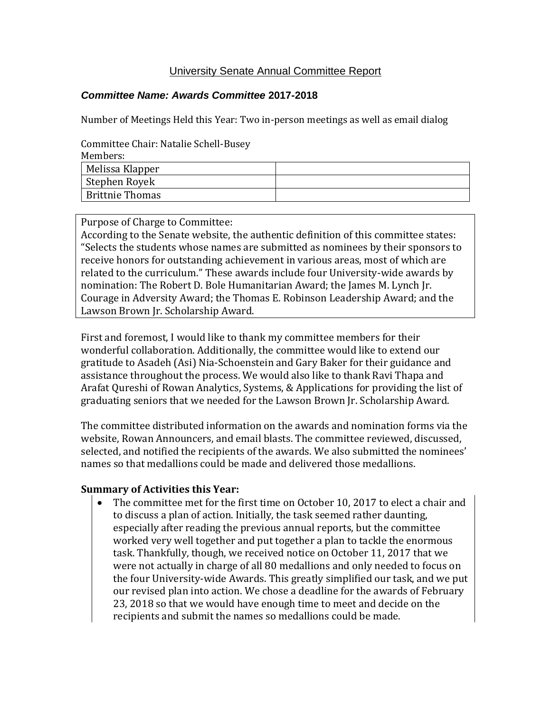## University Senate Annual Committee Report

## *Committee Name: Awards Committee* **2017-2018**

Number of Meetings Held this Year: Two in-person meetings as well as email dialog

Committee Chair: Natalie Schell-Busey

| Melissa Klapper<br>Stephen Royek |  |
|----------------------------------|--|
|                                  |  |
|                                  |  |
| <b>Brittnie Thomas</b>           |  |

Purpose of Charge to Committee:

According to the Senate website, the authentic definition of this committee states: "Selects the students whose names are submitted as nominees by their sponsors to receive honors for outstanding achievement in various areas, most of which are related to the curriculum." These awards include four University-wide awards by nomination: The Robert D. Bole Humanitarian Award; the James M. Lynch Jr. Courage in Adversity Award; the Thomas E. Robinson Leadership Award; and the Lawson Brown Jr. Scholarship Award.

First and foremost, I would like to thank my committee members for their wonderful collaboration. Additionally, the committee would like to extend our gratitude to Asadeh (Asi) Nia-Schoenstein and Gary Baker for their guidance and assistance throughout the process. We would also like to thank Ravi Thapa and Arafat Qureshi of Rowan Analytics, Systems, & Applications for providing the list of graduating seniors that we needed for the Lawson Brown Jr. Scholarship Award.

The committee distributed information on the awards and nomination forms via the website, Rowan Announcers, and email blasts. The committee reviewed, discussed, selected, and notified the recipients of the awards. We also submitted the nominees' names so that medallions could be made and delivered those medallions.

## **Summary of Activities this Year:**

 The committee met for the first time on October 10, 2017 to elect a chair and to discuss a plan of action. Initially, the task seemed rather daunting, especially after reading the previous annual reports, but the committee worked very well together and put together a plan to tackle the enormous task. Thankfully, though, we received notice on October 11, 2017 that we were not actually in charge of all 80 medallions and only needed to focus on the four University-wide Awards. This greatly simplified our task, and we put our revised plan into action. We chose a deadline for the awards of February 23, 2018 so that we would have enough time to meet and decide on the recipients and submit the names so medallions could be made.